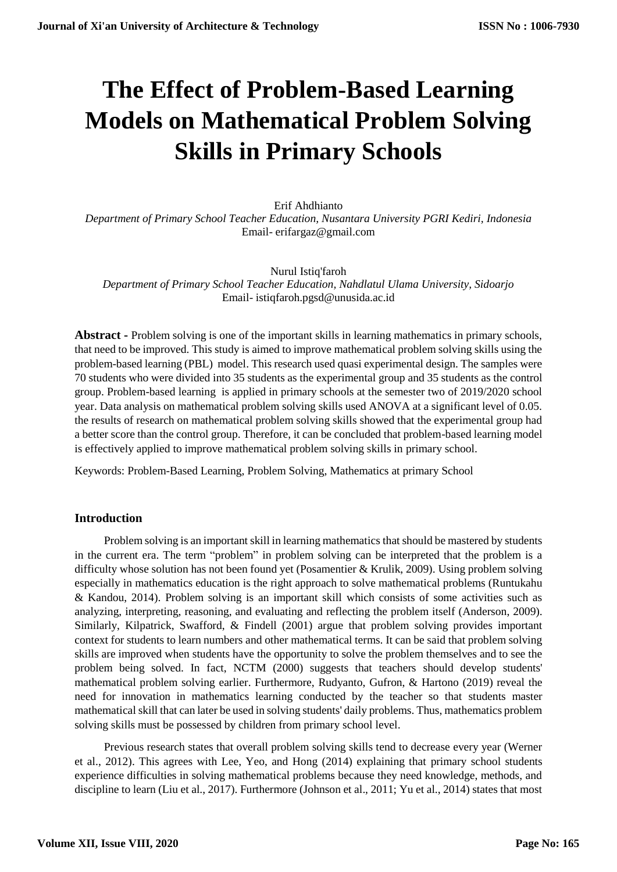# **The Effect of Problem-Based Learning Models on Mathematical Problem Solving Skills in Primary Schools**

Erif Ahdhianto *Department of Primary School Teacher Education, Nusantara University PGRI Kediri, Indonesia* Email- erifargaz@gmail.com

Nurul Istiq'faroh *Department of Primary School Teacher Education, Nahdlatul Ulama University, Sidoarjo* Email- istiqfaroh.pgsd@unusida.ac.id

**Abstract -** Problem solving is one of the important skills in learning mathematics in primary schools, that need to be improved. This study is aimed to improve mathematical problem solving skills using the problem-based learning (PBL) model. This research used quasi experimental design. The samples were 70 students who were divided into 35 students as the experimental group and 35 students as the control group. Problem-based learning is applied in primary schools at the semester two of 2019/2020 school year. Data analysis on mathematical problem solving skills used ANOVA at a significant level of 0.05. the results of research on mathematical problem solving skills showed that the experimental group had a better score than the control group. Therefore, it can be concluded that problem-based learning model is effectively applied to improve mathematical problem solving skills in primary school.

Keywords: Problem-Based Learning, Problem Solving, Mathematics at primary School

## **Introduction**

Problem solving is an important skill in learning mathematics that should be mastered by students in the current era. The term "problem" in problem solving can be interpreted that the problem is a difficulty whose solution has not been found yet (Posamentier & Krulik, 2009). Using problem solving especially in mathematics education is the right approach to solve mathematical problems (Runtukahu & Kandou, 2014). Problem solving is an important skill which consists of some activities such as analyzing, interpreting, reasoning, and evaluating and reflecting the problem itself (Anderson, 2009). Similarly, Kilpatrick, Swafford, & Findell (2001) argue that problem solving provides important context for students to learn numbers and other mathematical terms. It can be said that problem solving skills are improved when students have the opportunity to solve the problem themselves and to see the problem being solved. In fact, NCTM (2000) suggests that teachers should develop students' mathematical problem solving earlier. Furthermore, Rudyanto, Gufron, & Hartono (2019) reveal the need for innovation in mathematics learning conducted by the teacher so that students master mathematical skill that can later be used in solving students' daily problems. Thus, mathematics problem solving skills must be possessed by children from primary school level.

Previous research states that overall problem solving skills tend to decrease every year (Werner et al., 2012). This agrees with Lee, Yeo, and Hong (2014) explaining that primary school students experience difficulties in solving mathematical problems because they need knowledge, methods, and discipline to learn (Liu et al., 2017). Furthermore (Johnson et al., 2011; Yu et al., 2014) states that most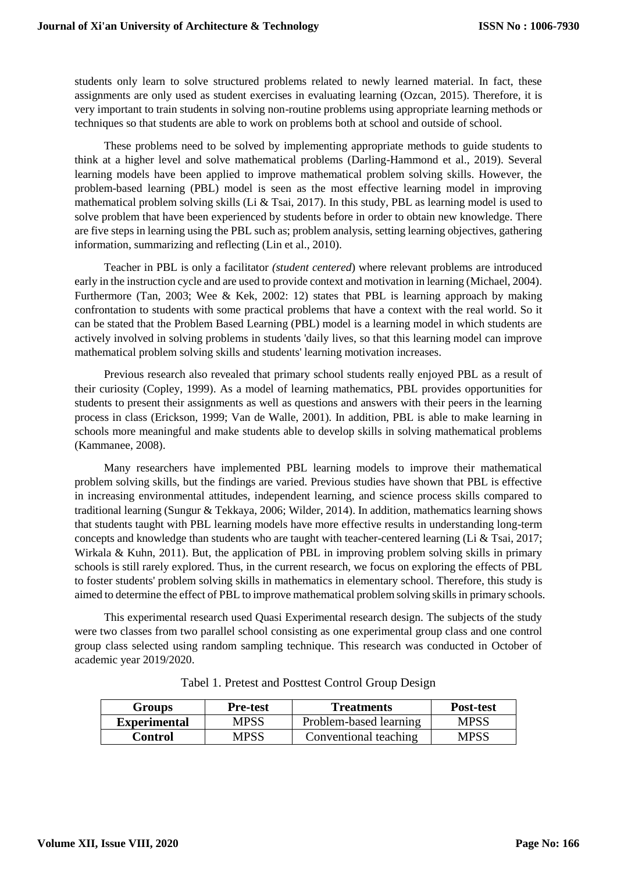students only learn to solve structured problems related to newly learned material. In fact, these assignments are only used as student exercises in evaluating learning (Ozcan, 2015). Therefore, it is very important to train students in solving non-routine problems using appropriate learning methods or techniques so that students are able to work on problems both at school and outside of school.

These problems need to be solved by implementing appropriate methods to guide students to think at a higher level and solve mathematical problems (Darling-Hammond et al., 2019). Several learning models have been applied to improve mathematical problem solving skills. However, the problem-based learning (PBL) model is seen as the most effective learning model in improving mathematical problem solving skills (Li & Tsai, 2017). In this study, PBL as learning model is used to solve problem that have been experienced by students before in order to obtain new knowledge. There are five steps in learning using the PBL such as; problem analysis, setting learning objectives, gathering information, summarizing and reflecting (Lin et al., 2010).

Teacher in PBL is only a facilitator *(student centered*) where relevant problems are introduced early in the instruction cycle and are used to provide context and motivation in learning (Michael, 2004). Furthermore (Tan, 2003; Wee & Kek, 2002: 12) states that PBL is learning approach by making confrontation to students with some practical problems that have a context with the real world. So it can be stated that the Problem Based Learning (PBL) model is a learning model in which students are actively involved in solving problems in students 'daily lives, so that this learning model can improve mathematical problem solving skills and students' learning motivation increases.

Previous research also revealed that primary school students really enjoyed PBL as a result of their curiosity (Copley, 1999). As a model of learning mathematics, PBL provides opportunities for students to present their assignments as well as questions and answers with their peers in the learning process in class (Erickson, 1999; Van de Walle, 2001). In addition, PBL is able to make learning in schools more meaningful and make students able to develop skills in solving mathematical problems (Kammanee, 2008).

Many researchers have implemented PBL learning models to improve their mathematical problem solving skills, but the findings are varied. Previous studies have shown that PBL is effective in increasing environmental attitudes, independent learning, and science process skills compared to traditional learning (Sungur & Tekkaya, 2006; Wilder, 2014). In addition, mathematics learning shows that students taught with PBL learning models have more effective results in understanding long-term concepts and knowledge than students who are taught with teacher-centered learning (Li & Tsai, 2017; Wirkala & Kuhn, 2011). But, the application of PBL in improving problem solving skills in primary schools is still rarely explored. Thus, in the current research, we focus on exploring the effects of PBL to foster students' problem solving skills in mathematics in elementary school. Therefore, this study is aimed to determine the effect of PBL to improve mathematical problem solving skills in primary schools.

This experimental research used Quasi Experimental research design. The subjects of the study were two classes from two parallel school consisting as one experimental group class and one control group class selected using random sampling technique. This research was conducted in October of academic year 2019/2020.

| <b>Groups</b>       | <b>Pre-test</b> | <b>Treatments</b>      | <b>Post-test</b> |
|---------------------|-----------------|------------------------|------------------|
| <b>Experimental</b> | MPSS            | Problem-based learning | <b>MPSS</b>      |
| <b>Control</b>      | MPSS            | Conventional teaching  | <b>MPSS</b>      |

Tabel 1. Pretest and Posttest Control Group Design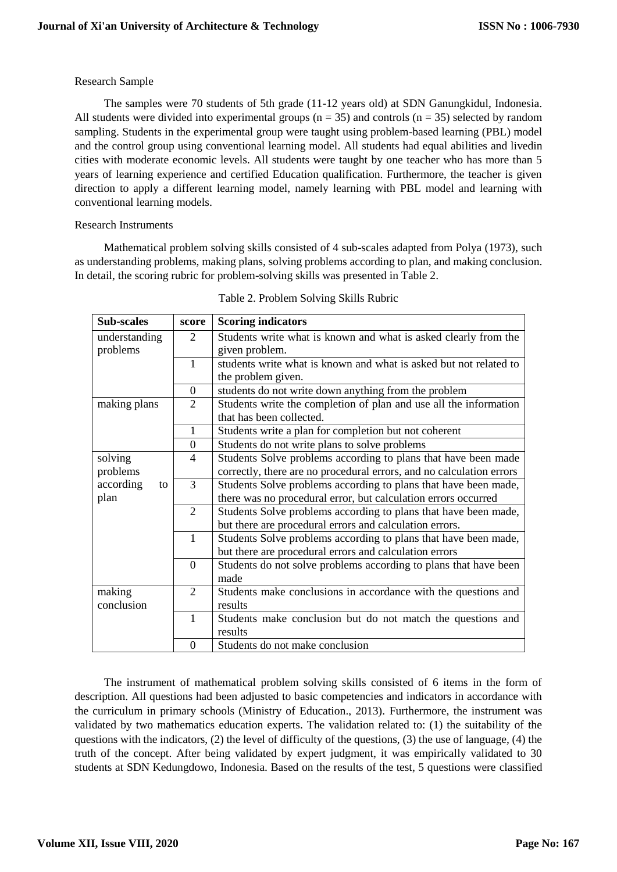# Research Sample

The samples were 70 students of 5th grade (11-12 years old) at SDN Ganungkidul, Indonesia. All students were divided into experimental groups ( $n = 35$ ) and controls ( $n = 35$ ) selected by random sampling. Students in the experimental group were taught using problem-based learning (PBL) model and the control group using conventional learning model. All students had equal abilities and livedin cities with moderate economic levels. All students were taught by one teacher who has more than 5 years of learning experience and certified Education qualification. Furthermore, the teacher is given direction to apply a different learning model, namely learning with PBL model and learning with conventional learning models.

Research Instruments

Mathematical problem solving skills consisted of 4 sub-scales adapted from Polya (1973), such as understanding problems, making plans, solving problems according to plan, and making conclusion. In detail, the scoring rubric for problem-solving skills was presented in Table 2.

| <b>Sub-scales</b> | score                       | <b>Scoring indicators</b>                                            |  |  |  |
|-------------------|-----------------------------|----------------------------------------------------------------------|--|--|--|
| understanding     | 2                           | Students write what is known and what is asked clearly from the      |  |  |  |
| problems          |                             | given problem.                                                       |  |  |  |
|                   | 1                           | students write what is known and what is asked but not related to    |  |  |  |
|                   |                             | the problem given.                                                   |  |  |  |
|                   | $\boldsymbol{0}$            | students do not write down anything from the problem                 |  |  |  |
| making plans      | 2                           | Students write the completion of plan and use all the information    |  |  |  |
|                   |                             | that has been collected.                                             |  |  |  |
|                   | $\mathbf{1}$                | Students write a plan for completion but not coherent                |  |  |  |
|                   | $\overline{0}$              | Students do not write plans to solve problems                        |  |  |  |
| solving           | $\overline{4}$              | Students Solve problems according to plans that have been made       |  |  |  |
| problems          |                             | correctly, there are no procedural errors, and no calculation errors |  |  |  |
| according<br>to   | 3                           | Students Solve problems according to plans that have been made,      |  |  |  |
| plan              |                             | there was no procedural error, but calculation errors occurred       |  |  |  |
|                   | $\overline{2}$              | Students Solve problems according to plans that have been made,      |  |  |  |
|                   |                             | but there are procedural errors and calculation errors.              |  |  |  |
|                   | $\mathbf{1}$                | Students Solve problems according to plans that have been made,      |  |  |  |
|                   |                             | but there are procedural errors and calculation errors               |  |  |  |
|                   | $\overline{0}$              | Students do not solve problems according to plans that have been     |  |  |  |
|                   |                             | made                                                                 |  |  |  |
| making            | $\mathcal{D}_{\mathcal{L}}$ | Students make conclusions in accordance with the questions and       |  |  |  |
| conclusion        |                             | results                                                              |  |  |  |
|                   | $\mathbf{1}$                | Students make conclusion but do not match the questions and          |  |  |  |
|                   |                             | results                                                              |  |  |  |
|                   | $\Omega$                    | Students do not make conclusion                                      |  |  |  |

| Table 2. Problem Solving Skills Rubric |  |  |
|----------------------------------------|--|--|
|                                        |  |  |

The instrument of mathematical problem solving skills consisted of 6 items in the form of description. All questions had been adjusted to basic competencies and indicators in accordance with the curriculum in primary schools (Ministry of Education., 2013). Furthermore, the instrument was validated by two mathematics education experts. The validation related to: (1) the suitability of the questions with the indicators, (2) the level of difficulty of the questions, (3) the use of language, (4) the truth of the concept. After being validated by expert judgment, it was empirically validated to 30 students at SDN Kedungdowo, Indonesia. Based on the results of the test, 5 questions were classified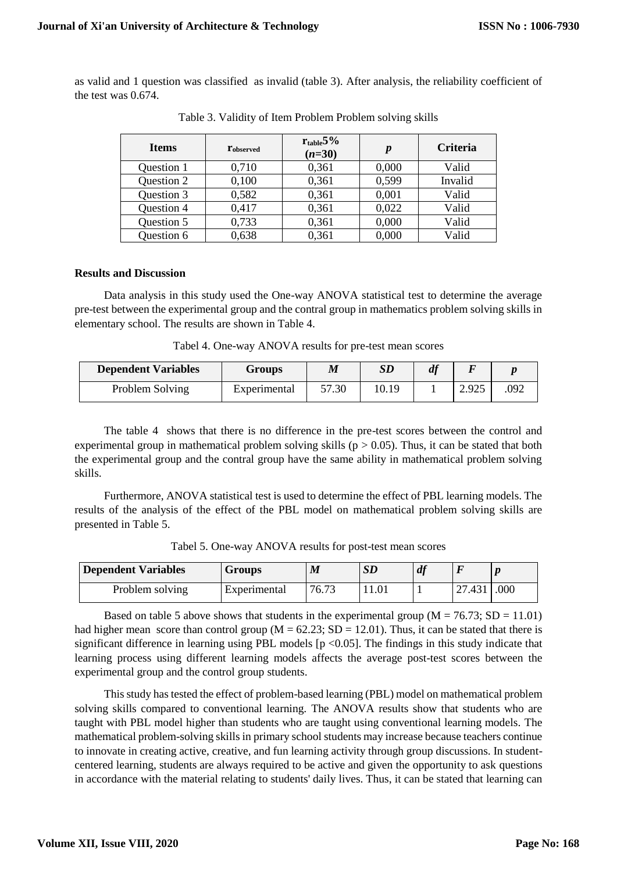as valid and 1 question was classified as invalid (table 3). After analysis, the reliability coefficient of the test was 0.674.

| <b>Items</b> | $\mathbf{r}_{\text{observed}}$ | $r_{table}5\%$<br>$(n=30)$ | $\boldsymbol{p}$ | <b>Criteria</b> |
|--------------|--------------------------------|----------------------------|------------------|-----------------|
| Question 1   | 0,710                          | 0,361                      | 0,000            | Valid           |
| Question 2   | 0,100                          | 0,361                      | 0,599            | Invalid         |
| Question 3   | 0,582                          | 0,361                      | 0,001            | Valid           |
| Question 4   | 0,417                          | 0,361                      | 0,022            | Valid           |
| Question 5   | 0,733                          | 0,361                      | 0,000            | Valid           |
| Question 6   | 0,638                          | 0,361                      | 0,000            | Valid           |

Table 3. Validity of Item Problem Problem solving skills

# **Results and Discussion**

Data analysis in this study used the One-way ANOVA statistical test to determine the average pre-test between the experimental group and the contral group in mathematics problem solving skills in elementary school. The results are shown in Table 4.

Tabel 4. One-way ANOVA results for pre-test mean scores

| <b>Dependent Variables</b> | Groups       | M     | SD    | df |       |      |
|----------------------------|--------------|-------|-------|----|-------|------|
| Problem Solving            | Experimental | 57.30 | 10.19 |    | 2.925 | .092 |

The table 4 shows that there is no difference in the pre-test scores between the control and experimental group in mathematical problem solving skills ( $p > 0.05$ ). Thus, it can be stated that both the experimental group and the contral group have the same ability in mathematical problem solving skills.

Furthermore, ANOVA statistical test is used to determine the effect of PBL learning models. The results of the analysis of the effect of the PBL model on mathematical problem solving skills are presented in Table 5.

| <b>Dependent Variables</b> | Groups       | $\boldsymbol{M}$ | SL   |        |      |
|----------------------------|--------------|------------------|------|--------|------|
| Problem solving            | Experimental | 76.73            | 1.01 | 27.431 | .000 |

Tabel 5. One-way ANOVA results for post-test mean scores

Based on table 5 above shows that students in the experimental group ( $M = 76.73$ ; SD = 11.01) had higher mean score than control group ( $M = 62.23$ ; SD = 12.01). Thus, it can be stated that there is significant difference in learning using PBL models [p <0.05]. The findings in this study indicate that learning process using different learning models affects the average post-test scores between the experimental group and the control group students.

This study has tested the effect of problem-based learning (PBL) model on mathematical problem solving skills compared to conventional learning. The ANOVA results show that students who are taught with PBL model higher than students who are taught using conventional learning models. The mathematical problem-solving skills in primary school students may increase because teachers continue to innovate in creating active, creative, and fun learning activity through group discussions. In studentcentered learning, students are always required to be active and given the opportunity to ask questions in accordance with the material relating to students' daily lives. Thus, it can be stated that learning can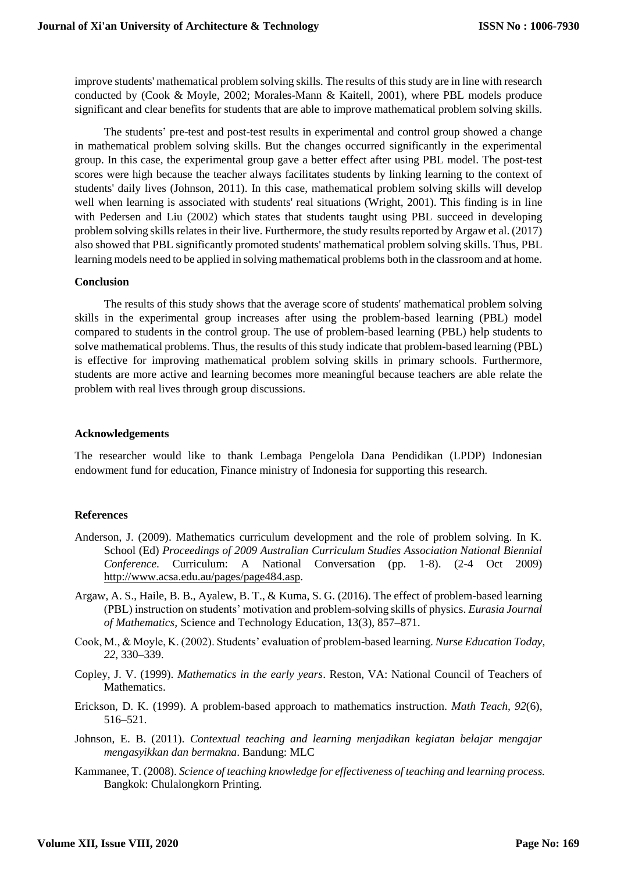improve students' mathematical problem solving skills. The results of this study are in line with research conducted by (Cook & Moyle, 2002; Morales-Mann & Kaitell, 2001), where PBL models produce significant and clear benefits for students that are able to improve mathematical problem solving skills.

The students' pre-test and post-test results in experimental and control group showed a change in mathematical problem solving skills. But the changes occurred significantly in the experimental group. In this case, the experimental group gave a better effect after using PBL model. The post-test scores were high because the teacher always facilitates students by linking learning to the context of students' daily lives (Johnson, 2011). In this case, mathematical problem solving skills will develop well when learning is associated with students' real situations (Wright, 2001). This finding is in line with Pedersen and Liu (2002) which states that students taught using PBL succeed in developing problem solving skills relates in their live. Furthermore, the study results reported by Argaw et al. (2017) also showed that PBL significantly promoted students' mathematical problem solving skills. Thus, PBL learning models need to be applied in solving mathematical problems both in the classroom and at home.

#### **Conclusion**

The results of this study shows that the average score of students' mathematical problem solving skills in the experimental group increases after using the problem-based learning (PBL) model compared to students in the control group. The use of problem-based learning (PBL) help students to solve mathematical problems. Thus, the results of this study indicate that problem-based learning (PBL) is effective for improving mathematical problem solving skills in primary schools. Furthermore, students are more active and learning becomes more meaningful because teachers are able relate the problem with real lives through group discussions.

#### **Acknowledgements**

The researcher would like to thank Lembaga Pengelola Dana Pendidikan (LPDP) Indonesian endowment fund for education, Finance ministry of Indonesia for supporting this research.

## **References**

- Anderson, J. (2009). Mathematics curriculum development and the role of problem solving. In K. School (Ed) *Proceedings of 2009 Australian Curriculum Studies Association National Biennial Conference*. Curriculum: A National Conversation (pp. 1-8). (2-4 Oct 2009) [http://www.acsa.edu.au/pages/page484.asp.](http://www.acsa.edu.au/pages/page484.asp)
- Argaw, A. S., Haile, B. B., Ayalew, B. T., & Kuma, S. G. (2016). The effect of problem-based learning (PBL) instruction on students' motivation and problem-solving skills of physics. *Eurasia Journal of Mathematics,* Science and Technology Education, 13(3), 857–871.
- Cook, M., & Moyle, K. (2002). Students' evaluation of problem-based learning. *Nurse Education Today, 22*, 330–339.
- Copley, J. V. (1999). *Mathematics in the early years*. Reston, VA: National Council of Teachers of Mathematics.
- Erickson, D. K. (1999). A problem-based approach to mathematics instruction. *Math Teach, 92*(6), 516–521.
- Johnson, E. B. (2011). *Contextual teaching and learning menjadikan kegiatan belajar mengajar mengasyikkan dan bermakna*. Bandung: MLC
- Kammanee, T. (2008). *Science of teaching knowledge for effectiveness of teaching and learning process.* Bangkok: Chulalongkorn Printing.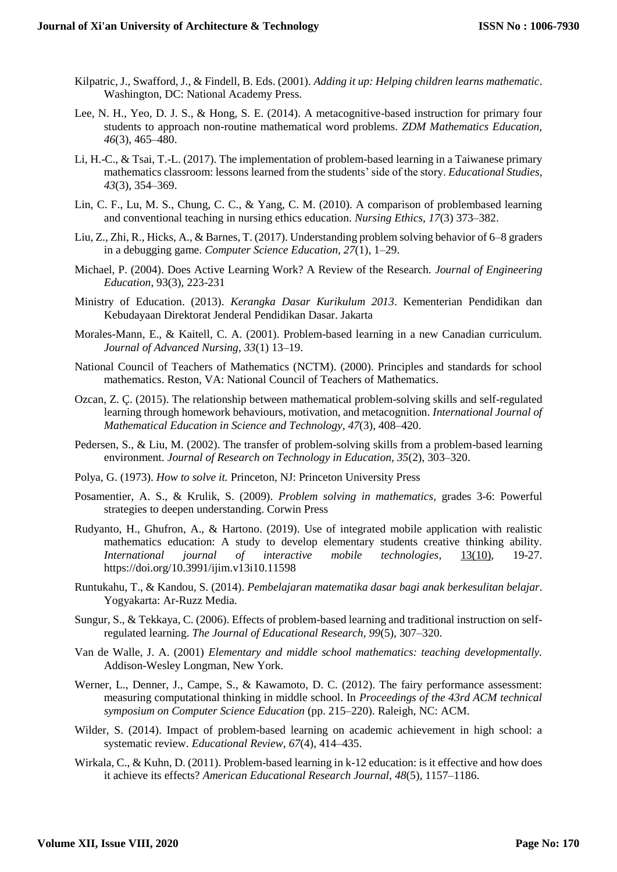- Kilpatric, J., Swafford, J., & Findell, B. Eds. (2001). *Adding it up: Helping children learns mathematic*. Washington, DC: National Academy Press.
- Lee, N. H., Yeo, D. J. S., & Hong, S. E. (2014). A metacognitive-based instruction for primary four students to approach non-routine mathematical word problems. *ZDM Mathematics Education, 46*(3), 465–480.
- Li, H.-C., & Tsai, T.-L. (2017). The implementation of problem-based learning in a Taiwanese primary mathematics classroom: lessons learned from the students' side of the story. *Educational Studies, 43*(3), 354–369.
- Lin, C. F., Lu, M. S., Chung, C. C., & Yang, C. M. (2010). A comparison of problembased learning and conventional teaching in nursing ethics education. *Nursing Ethics, 17*(3) 373–382.
- Liu, Z., Zhi, R., Hicks, A., & Barnes, T. (2017). Understanding problem solving behavior of 6–8 graders in a debugging game. *Computer Science Education, 27*(1), 1–29.
- Michael, P. (2004). Does Active Learning Work? A Review of the Research. *Journal of Engineering Education*, 93(3), 223-231
- Ministry of Education. (2013). *Kerangka Dasar Kurikulum 2013*. Kementerian Pendidikan dan Kebudayaan Direktorat Jenderal Pendidikan Dasar. Jakarta
- Morales-Mann, E., & Kaitell, C. A. (2001). Problem-based learning in a new Canadian curriculum. *Journal of Advanced Nursing, 33*(1) 13–19.
- National Council of Teachers of Mathematics (NCTM). (2000). Principles and standards for school mathematics. Reston, VA: National Council of Teachers of Mathematics.
- Ozcan, Z. Ç. (2015). The relationship between mathematical problem-solving skills and self-regulated learning through homework behaviours, motivation, and metacognition. *International Journal of Mathematical Education in Science and Technology, 47*(3), 408–420.
- Pedersen, S., & Liu, M. (2002). The transfer of problem-solving skills from a problem-based learning environment. *Journal of Research on Technology in Education, 35*(2), 303–320.
- Polya, G. (1973). *How to solve it.* Princeton, NJ: Princeton University Press
- Posamentier, A. S., & Krulik, S. (2009). *Problem solving in mathematics*, grades 3-6: Powerful strategies to deepen understanding. Corwin Press
- Rudyanto, H., Ghufron, A., & Hartono. (2019). Use of integrated mobile application with realistic mathematics education: A study to develop elementary students creative thinking ability. *International journal of interactive mobile technologies*, [13\(10\),](https://online-journals.org/index.php/i-jim/issue/view/409) 19-27. https://doi.org/10.3991/ijim.v13i10.11598
- Runtukahu, T., & Kandou, S. (2014). *Pembelajaran matematika dasar bagi anak berkesulitan belajar*. Yogyakarta: Ar-Ruzz Media.
- Sungur, S., & Tekkaya, C. (2006). Effects of problem-based learning and traditional instruction on selfregulated learning. *The Journal of Educational Research, 99*(5), 307–320.
- Van de Walle, J. A. (2001) *Elementary and middle school mathematics: teaching developmentally.* Addison-Wesley Longman, New York.
- Werner, L., Denner, J., Campe, S., & Kawamoto, D. C. (2012). The fairy performance assessment: measuring computational thinking in middle school. In *Proceedings of the 43rd ACM technical symposium on Computer Science Education* (pp. 215–220). Raleigh, NC: ACM.
- Wilder, S. (2014). Impact of problem-based learning on academic achievement in high school: a systematic review. *Educational Review, 67*(4), 414–435.
- Wirkala, C., & Kuhn, D. (2011). Problem-based learning in k-12 education: is it effective and how does it achieve its effects? *American Educational Research Journal, 48*(5), 1157–1186.